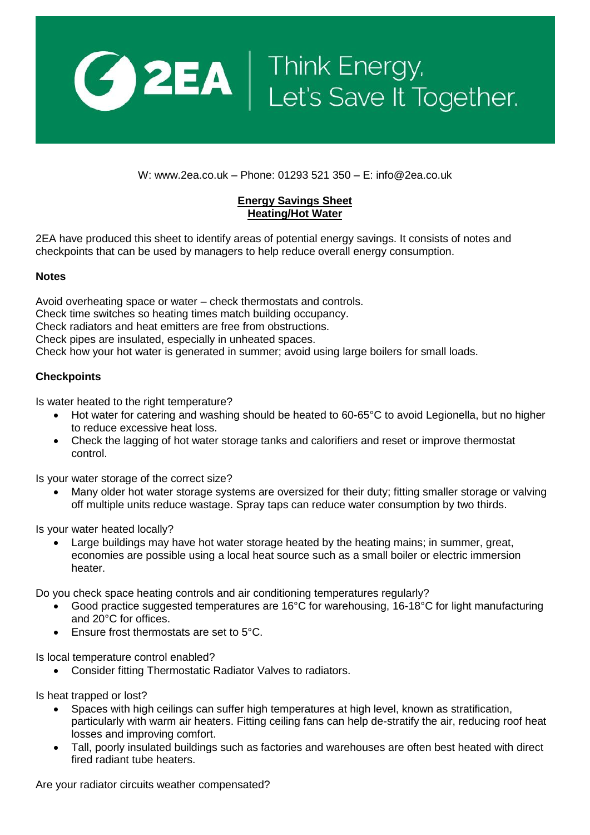

W: www.2ea.co.uk – Phone: 01293 521 350 – E: info@2ea.co.uk

## **Energy Savings Sheet Heating/Hot Water**

2EA have produced this sheet to identify areas of potential energy savings. It consists of notes and checkpoints that can be used by managers to help reduce overall energy consumption.

## **Notes**

Avoid overheating space or water – check thermostats and controls. Check time switches so heating times match building occupancy. Check radiators and heat emitters are free from obstructions. Check pipes are insulated, especially in unheated spaces. Check how your hot water is generated in summer; avoid using large boilers for small loads.

## **Checkpoints**

Is water heated to the right temperature?

- Hot water for catering and washing should be heated to 60-65°C to avoid Legionella, but no higher to reduce excessive heat loss.
- Check the lagging of hot water storage tanks and calorifiers and reset or improve thermostat control.

Is your water storage of the correct size?

 Many older hot water storage systems are oversized for their duty; fitting smaller storage or valving off multiple units reduce wastage. Spray taps can reduce water consumption by two thirds.

Is your water heated locally?

 Large buildings may have hot water storage heated by the heating mains; in summer, great, economies are possible using a local heat source such as a small boiler or electric immersion heater.

Do you check space heating controls and air conditioning temperatures regularly?

- Good practice suggested temperatures are 16°C for warehousing, 16-18°C for light manufacturing and 20°C for offices.
- Ensure frost thermostats are set to 5°C.

Is local temperature control enabled?

Consider fitting Thermostatic Radiator Valves to radiators.

Is heat trapped or lost?

- Spaces with high ceilings can suffer high temperatures at high level, known as stratification, particularly with warm air heaters. Fitting ceiling fans can help de-stratify the air, reducing roof heat losses and improving comfort.
- Tall, poorly insulated buildings such as factories and warehouses are often best heated with direct fired radiant tube heaters.

Are your radiator circuits weather compensated?